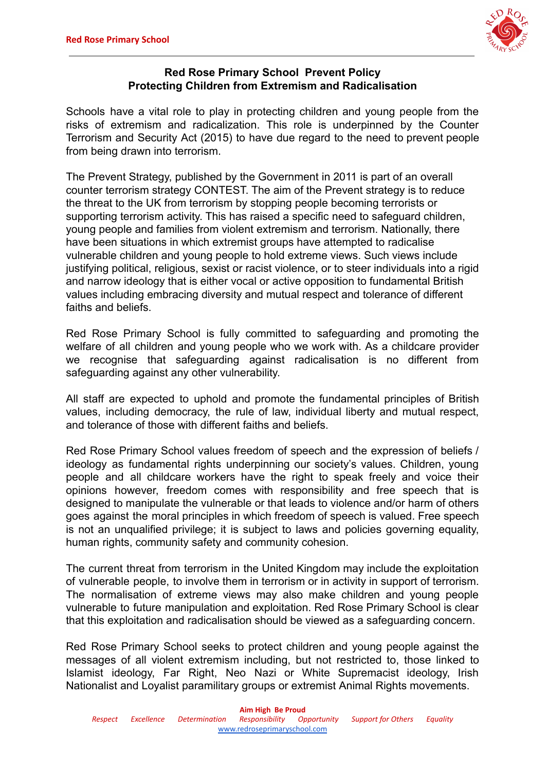

#### **Red Rose Primary School Prevent Policy Protecting Children from Extremism and Radicalisation**

Schools have a vital role to play in protecting children and young people from the risks of extremism and radicalization. This role is underpinned by the Counter Terrorism and Security Act (2015) to have due regard to the need to prevent people from being drawn into terrorism.

The Prevent Strategy, published by the Government in 2011 is part of an overall counter terrorism strategy CONTEST. The aim of the Prevent strategy is to reduce the threat to the UK from terrorism by stopping people becoming terrorists or supporting terrorism activity. This has raised a specific need to safeguard children, young people and families from violent extremism and terrorism. Nationally, there have been situations in which extremist groups have attempted to radicalise vulnerable children and young people to hold extreme views. Such views include justifying political, religious, sexist or racist violence, or to steer individuals into a rigid and narrow ideology that is either vocal or active opposition to fundamental British values including embracing diversity and mutual respect and tolerance of different faiths and beliefs.

Red Rose Primary School is fully committed to safeguarding and promoting the welfare of all children and young people who we work with. As a childcare provider we recognise that safeguarding against radicalisation is no different from safeguarding against any other vulnerability.

All staff are expected to uphold and promote the fundamental principles of British values, including democracy, the rule of law, individual liberty and mutual respect, and tolerance of those with different faiths and beliefs.

Red Rose Primary School values freedom of speech and the expression of beliefs / ideology as fundamental rights underpinning our society's values. Children, young people and all childcare workers have the right to speak freely and voice their opinions however, freedom comes with responsibility and free speech that is designed to manipulate the vulnerable or that leads to violence and/or harm of others goes against the moral principles in which freedom of speech is valued. Free speech is not an unqualified privilege; it is subject to laws and policies governing equality, human rights, community safety and community cohesion.

The current threat from terrorism in the United Kingdom may include the exploitation of vulnerable people, to involve them in terrorism or in activity in support of terrorism. The normalisation of extreme views may also make children and young people vulnerable to future manipulation and exploitation. Red Rose Primary School is clear that this exploitation and radicalisation should be viewed as a safeguarding concern.

Red Rose Primary School seeks to protect children and young people against the messages of all violent extremism including, but not restricted to, those linked to Islamist ideology, Far Right, Neo Nazi or White Supremacist ideology, Irish Nationalist and Loyalist paramilitary groups or extremist Animal Rights movements.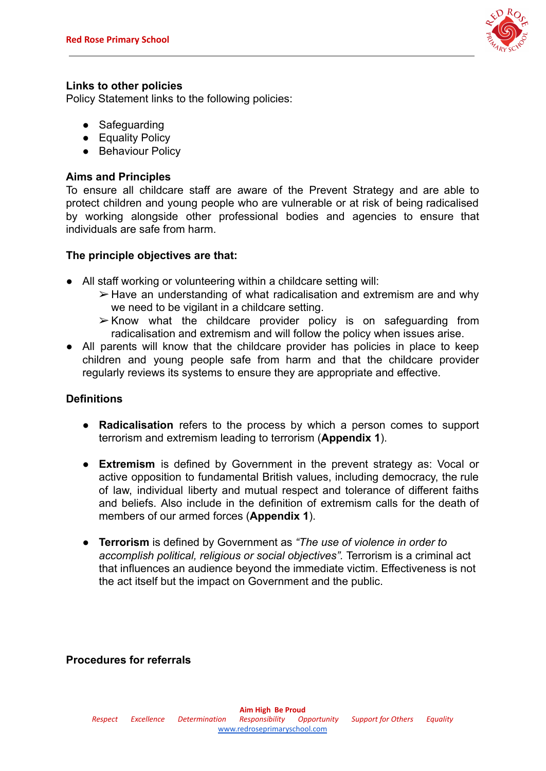

#### **Links to other policies**

Policy Statement links to the following policies:

- Safeguarding
- Equality Policy
- Behaviour Policy

#### **Aims and Principles**

To ensure all childcare staff are aware of the Prevent Strategy and are able to protect children and young people who are vulnerable or at risk of being radicalised by working alongside other professional bodies and agencies to ensure that individuals are safe from harm.

### **The principle objectives are that:**

- All staff working or volunteering within a childcare setting will:
	- ➢ Have an understanding of what radicalisation and extremism are and why we need to be vigilant in a childcare setting.
	- ➢ Know what the childcare provider policy is on safeguarding from radicalisation and extremism and will follow the policy when issues arise.
- All parents will know that the childcare provider has policies in place to keep children and young people safe from harm and that the childcare provider regularly reviews its systems to ensure they are appropriate and effective.

#### **Definitions**

- **Radicalisation** refers to the process by which a person comes to support terrorism and extremism leading to terrorism (**Appendix 1**).
- **Extremism** is defined by Government in the prevent strategy as: Vocal or active opposition to fundamental British values, including democracy, the rule of law, individual liberty and mutual respect and tolerance of different faiths and beliefs. Also include in the definition of extremism calls for the death of members of our armed forces (**Appendix 1**).
- **Terrorism** is defined by Government as *"The use of violence in order to accomplish political, religious or social objectives".* Terrorism is a criminal act that influences an audience beyond the immediate victim. Effectiveness is not the act itself but the impact on Government and the public.

#### **Procedures for referrals**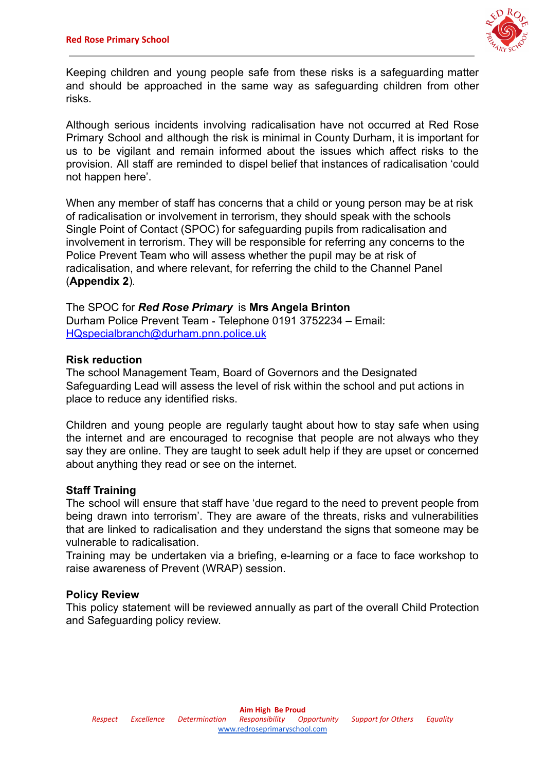

Keeping children and young people safe from these risks is a safeguarding matter and should be approached in the same way as safeguarding children from other risks.

Although serious incidents involving radicalisation have not occurred at Red Rose Primary School and although the risk is minimal in County Durham, it is important for us to be vigilant and remain informed about the issues which affect risks to the provision. All staff are reminded to dispel belief that instances of radicalisation 'could not happen here'.

When any member of staff has concerns that a child or young person may be at risk of radicalisation or involvement in terrorism, they should speak with the schools Single Point of Contact (SPOC) for safeguarding pupils from radicalisation and involvement in terrorism. They will be responsible for referring any concerns to the Police Prevent Team who will assess whether the pupil may be at risk of radicalisation, and where relevant, for referring the child to the Channel Panel (**Appendix 2**).

The SPOC for *Red Rose Primary* is **Mrs Angela Brinton** Durham Police Prevent Team - Telephone 0191 3752234 – Email: [HQspecialbranch@durham.pnn.police.uk](mailto:HQspecialbranch@durham.pnn.police.uk)

#### **Risk reduction**

The school Management Team, Board of Governors and the Designated Safeguarding Lead will assess the level of risk within the school and put actions in place to reduce any identified risks.

Children and young people are regularly taught about how to stay safe when using the internet and are encouraged to recognise that people are not always who they say they are online. They are taught to seek adult help if they are upset or concerned about anything they read or see on the internet.

#### **Staff Training**

The school will ensure that staff have 'due regard to the need to prevent people from being drawn into terrorism'. They are aware of the threats, risks and vulnerabilities that are linked to radicalisation and they understand the signs that someone may be vulnerable to radicalisation.

Training may be undertaken via a briefing, e-learning or a face to face workshop to raise awareness of Prevent (WRAP) session.

#### **Policy Review**

This policy statement will be reviewed annually as part of the overall Child Protection and Safeguarding policy review.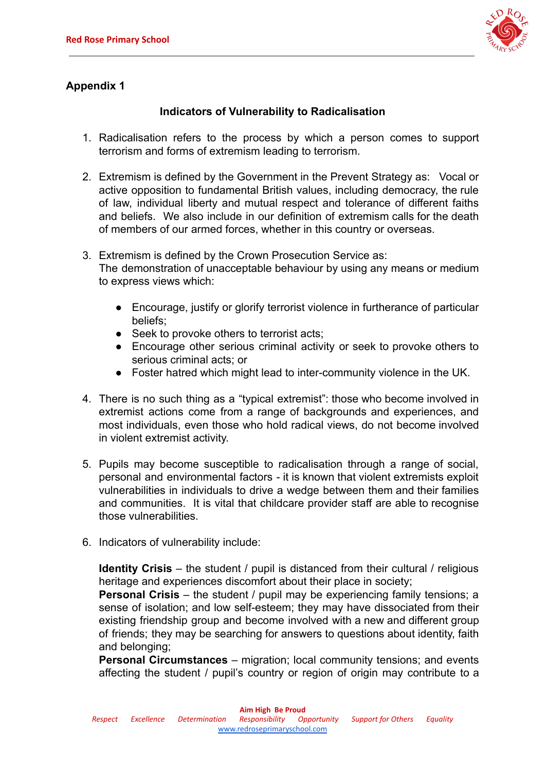

# **Appendix 1**

## **Indicators of Vulnerability to Radicalisation**

- 1. Radicalisation refers to the process by which a person comes to support terrorism and forms of extremism leading to terrorism.
- 2. Extremism is defined by the Government in the Prevent Strategy as: Vocal or active opposition to fundamental British values, including democracy, the rule of law, individual liberty and mutual respect and tolerance of different faiths and beliefs. We also include in our definition of extremism calls for the death of members of our armed forces, whether in this country or overseas.
- 3. Extremism is defined by the Crown Prosecution Service as: The demonstration of unacceptable behaviour by using any means or medium to express views which:
	- Encourage, justify or glorify terrorist violence in furtherance of particular beliefs;
	- Seek to provoke others to terrorist acts;
	- Encourage other serious criminal activity or seek to provoke others to serious criminal acts; or
	- Foster hatred which might lead to inter-community violence in the UK.
- 4. There is no such thing as a "typical extremist": those who become involved in extremist actions come from a range of backgrounds and experiences, and most individuals, even those who hold radical views, do not become involved in violent extremist activity.
- 5. Pupils may become susceptible to radicalisation through a range of social, personal and environmental factors - it is known that violent extremists exploit vulnerabilities in individuals to drive a wedge between them and their families and communities. It is vital that childcare provider staff are able to recognise those vulnerabilities.
- 6. Indicators of vulnerability include:

**Identity Crisis** – the student / pupil is distanced from their cultural / religious heritage and experiences discomfort about their place in society;

**Personal Crisis** – the student / pupil may be experiencing family tensions; a sense of isolation; and low self-esteem; they may have dissociated from their existing friendship group and become involved with a new and different group of friends; they may be searching for answers to questions about identity, faith and belonging;

**Personal Circumstances** – migration; local community tensions; and events affecting the student / pupil's country or region of origin may contribute to a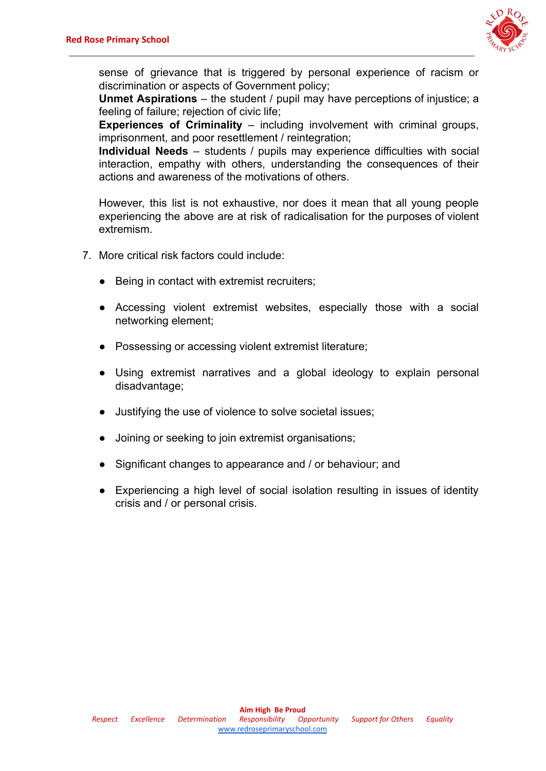

sense of grievance that is triggered by personal experience of racism or discrimination or aspects of Government policy;

**Unmet Aspirations** – the student / pupil may have perceptions of injustice; a feeling of failure; rejection of civic life;

**Experiences of Criminality** – including involvement with criminal groups, imprisonment, and poor resettlement / reintegration;

**Individual Needs** – students / pupils may experience difficulties with social interaction, empathy with others, understanding the consequences of their actions and awareness of the motivations of others.

However, this list is not exhaustive, nor does it mean that all young people experiencing the above are at risk of radicalisation for the purposes of violent extremism.

- 7. More critical risk factors could include:
	- Being in contact with extremist recruiters;
	- Accessing violent extremist websites, especially those with a social networking element;
	- Possessing or accessing violent extremist literature;
	- Using extremist narratives and a global ideology to explain personal disadvantage;
	- Justifying the use of violence to solve societal issues;
	- Joining or seeking to join extremist organisations;
	- Significant changes to appearance and / or behaviour; and
	- Experiencing a high level of social isolation resulting in issues of identity crisis and / or personal crisis.